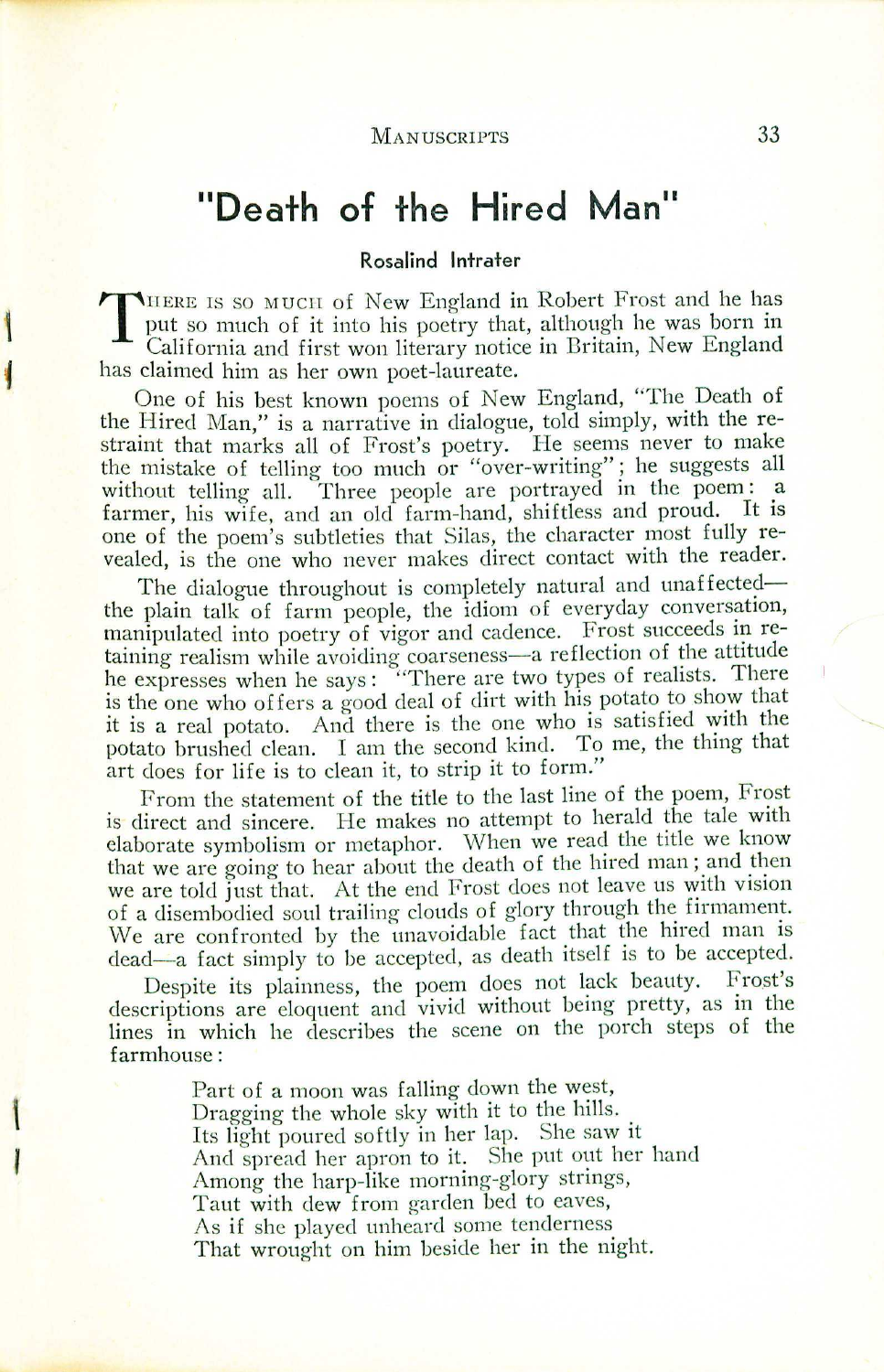# **"Death of the Hired Man"**

#### **Rosalind Intrater**

THERE IS SO MUCH Of New England in Robert Frost and he has put so much of it into his poetry that, although he was born in California and first won literary notice in Britain, New England put so much of it into his poetry that, although he was born in California and first won literary notice in Britain, New England<br>drived by has claimed him as her own poet-laureate

One of his best known poems of New England, "The Death of the Hired Man," is a narrative in dialogue, told simply, with the restraint that marks all of Frost's poetry. He seems never to make the mistake of telling too much or "over-writing"; he suggests all without telling all. Three people are portrayed in the poem: a farmer, his wife, and an old farm-hand, shiftless and proud. It is one of the poem's subtleties that Silas, the character most fully revealed, is the one who never makes direct contact with the reader.

The dialogue throughout is completely natural and unaffectedthe plam talk of farm people, the idiom of everyday conversation, manipulated into poetry of vigor and cadence. Frost succeeds in retaining realism while avoiding coarseness-a reflection of the attitude he expresses when he says: "There are two types of realists. There is the one who offers a good deal of dirt with his potato to show that it is a real potato. And there is the one who is satisfied with the potato brushed clean. I am the second kind. To me, the thing that art does for life is to clean it, to strip it to form."

From the statement of the title to the last line of the poem, Frost is direct and sincere. He makes no attempt to herald the tale with elaborate symbolism or metaphor. When we read the title we know that we are going to hear about the death of the hired man; and then we are told just that. At the end Frost does not leave us with vision of a disembodied soul trailing clouds of glory through the firmament. We are confronted by the unavoidable fact that the hired man is dead-a fact simply to be accepted, as death itself is to be accepted.

Despite its plainness, the poem does not lack beauty. Frost's descriptions are eloquent and vivid without being pretty, as in the lines in which he describes the scene on the porch steps of the farmhouse:

> Part of a moon was falling down the west, Dragging the whole sky with it to the hills. Its light poured softly in her lap. She saw it And spread her apron to it. She put out her hand Among the harp-like morning-glory strings, Taut with dew from garden bed to eaves, As if she played unheard some tenderness That wrought on him beside her in the night.